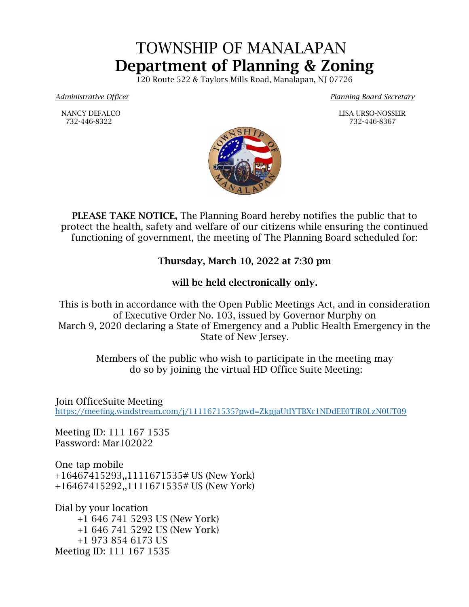## TOWNSHIP OF MANALAPAN Department of Planning & Zoning

120 Route 522 & Taylors Mills Road, Manalapan, NJ 07726

*Administrative Officer Planning Board Secretary*

 NANCY DEFALCO LISA URSO-NOSSEIR 732-446-8322 732-446-8367



PLEASE TAKE NOTICE, The Planning Board hereby notifies the public that to protect the health, safety and welfare of our citizens while ensuring the continued functioning of government, the meeting of The Planning Board scheduled for:

## Thursday, March 10, 2022 at 7:30 pm

## will be held electronically only.

This is both in accordance with the Open Public Meetings Act, and in consideration of Executive Order No. 103, issued by Governor Murphy on March 9, 2020 declaring a State of Emergency and a Public Health Emergency in the State of New Jersey.

> Members of the public who wish to participate in the meeting may do so by joining the virtual HD Office Suite Meeting:

Join OfficeSuite Meeting <https://meeting.windstream.com/j/1111671535?pwd=ZkpjaUtIYTBXc1NDdEE0TlR0LzN0UT09>

Meeting ID: 111 167 1535 Password: Mar102022

One tap mobile +16467415293,,1111671535# US (New York) +16467415292,,1111671535# US (New York)

Dial by your location +1 646 741 5293 US (New York) +1 646 741 5292 US (New York) +1 973 854 6173 US Meeting ID: 111 167 1535